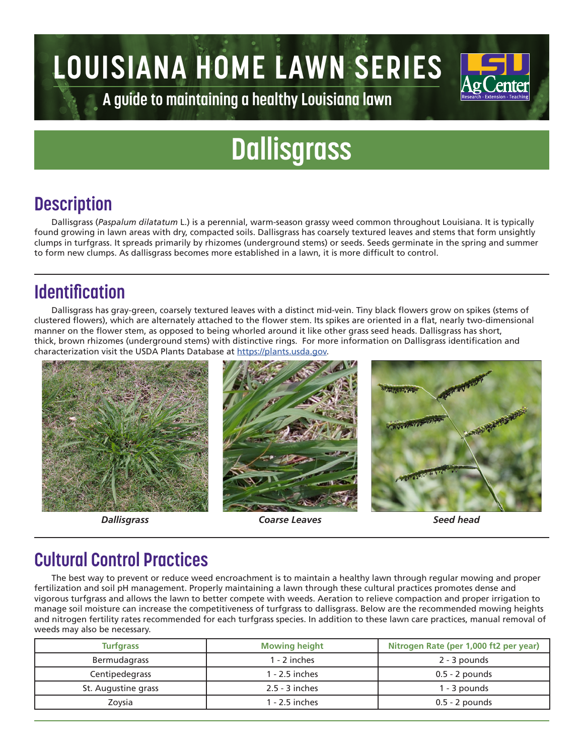# **LOUISIANA HOME LAWN SERIES**



**A guide to maintaining a healthy Louisiana lawn**

## **Dallisgrass**

### **Description**

Dallisgrass (*Paspalum dilatatum* L.) is a perennial, warm-season grassy weed common throughout Louisiana. It is typically found growing in lawn areas with dry, compacted soils. Dallisgrass has coarsely textured leaves and stems that form unsightly clumps in turfgrass. It spreads primarily by rhizomes (underground stems) or seeds. Seeds germinate in the spring and summer to form new clumps. As dallisgrass becomes more established in a lawn, it is more difficult to control.

#### **Identification**

Dallisgrass has gray-green, coarsely textured leaves with a distinct mid-vein. Tiny black flowers grow on spikes (stems of clustered flowers), which are alternately attached to the flower stem. Its spikes are oriented in a flat, nearly two-dimensional manner on the flower stem, as opposed to being whorled around it like other grass seed heads. Dallisgrass has short, thick, brown rhizomes (underground stems) with distinctive rings. For more information on Dallisgrass identification and characterization visit the USDA Plants Database at https://plants.usda.gov.



*Dallisgrass Coarse Leaves Seed head*

#### **Cultural Control Practices**

The best way to prevent or reduce weed encroachment is to maintain a healthy lawn through regular mowing and proper fertilization and soil pH management. Properly maintaining a lawn through these cultural practices promotes dense and vigorous turfgrass and allows the lawn to better compete with weeds. Aeration to relieve compaction and proper irrigation to manage soil moisture can increase the competitiveness of turfgrass to dallisgrass. Below are the recommended mowing heights and nitrogen fertility rates recommended for each turfgrass species. In addition to these lawn care practices, manual removal of weeds may also be necessary.

| <b>Turfgrass</b>    | <b>Mowing height</b> | Nitrogen Rate (per 1,000 ft2 per year) |  |  |
|---------------------|----------------------|----------------------------------------|--|--|
| Bermudagrass        | $1 - 2$ inches       | 2 - 3 pounds                           |  |  |
| Centipedegrass      | $1 - 2.5$ inches     | $0.5 - 2$ pounds                       |  |  |
| St. Augustine grass | $2.5 - 3$ inches     | 1 - 3 pounds                           |  |  |
| Zoysia              | 1 - 2.5 inches       | $0.5 - 2$ pounds                       |  |  |